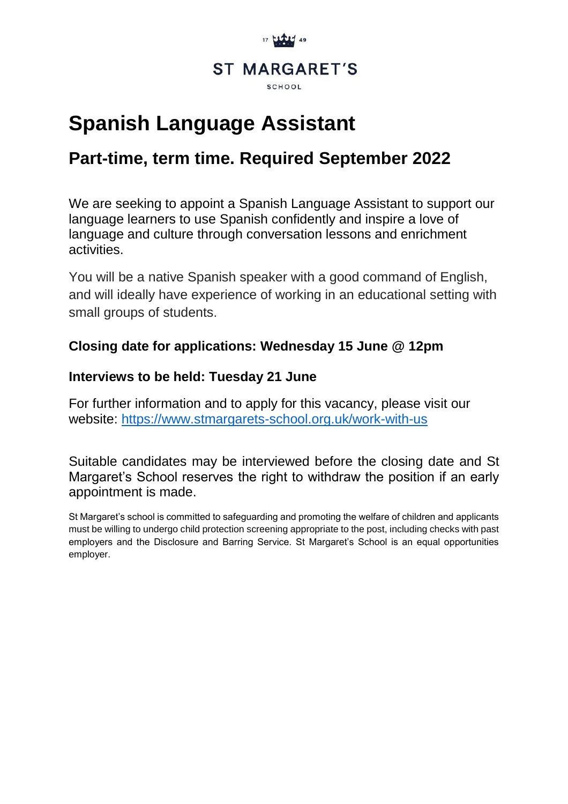

# **Spanish Language Assistant**

## **Part-time, term time. Required September 2022**

We are seeking to appoint a Spanish Language Assistant to support our language learners to use Spanish confidently and inspire a love of language and culture through conversation lessons and enrichment activities.

You will be a native Spanish speaker with a good command of English, and will ideally have experience of working in an educational setting with small groups of students.

### **Closing date for applications: Wednesday 15 June @ 12pm**

#### **Interviews to be held: Tuesday 21 June**

For further information and to apply for this vacancy, please visit our website:<https://www.stmargarets-school.org.uk/work-with-us>

Suitable candidates may be interviewed before the closing date and St Margaret's School reserves the right to withdraw the position if an early appointment is made.

St Margaret's school is committed to safeguarding and promoting the welfare of children and applicants must be willing to undergo child protection screening appropriate to the post, including checks with past employers and the Disclosure and Barring Service. St Margaret's School is an equal opportunities employer.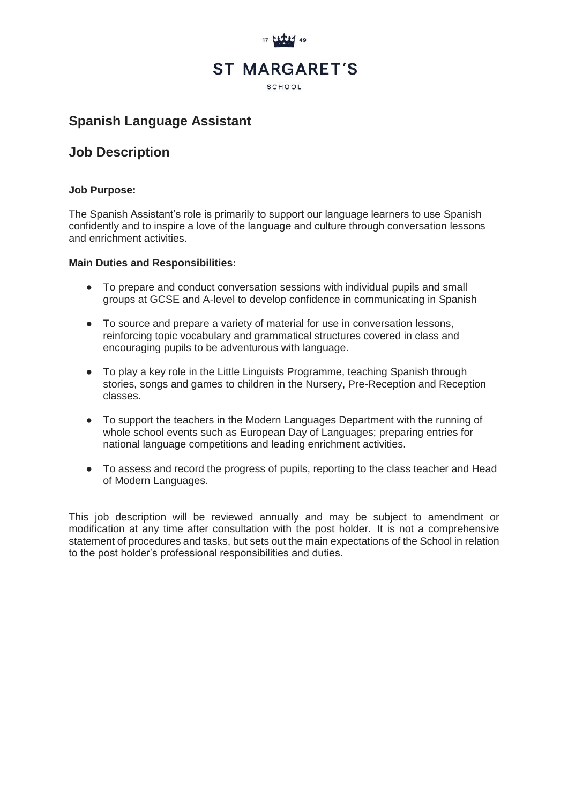

### **Spanish Language Assistant**

#### **Job Description**

#### **Job Purpose:**

The Spanish Assistant's role is primarily to support our language learners to use Spanish confidently and to inspire a love of the language and culture through conversation lessons and enrichment activities.

#### **Main Duties and Responsibilities:**

- To prepare and conduct conversation sessions with individual pupils and small groups at GCSE and A-level to develop confidence in communicating in Spanish
- To source and prepare a variety of material for use in conversation lessons, reinforcing topic vocabulary and grammatical structures covered in class and encouraging pupils to be adventurous with language.
- To play a key role in the Little Linguists Programme, teaching Spanish through stories, songs and games to children in the Nursery, Pre-Reception and Reception classes.
- To support the teachers in the Modern Languages Department with the running of whole school events such as European Day of Languages; preparing entries for national language competitions and leading enrichment activities.
- To assess and record the progress of pupils, reporting to the class teacher and Head of Modern Languages.

This job description will be reviewed annually and may be subject to amendment or modification at any time after consultation with the post holder. It is not a comprehensive statement of procedures and tasks, but sets out the main expectations of the School in relation to the post holder's professional responsibilities and duties.